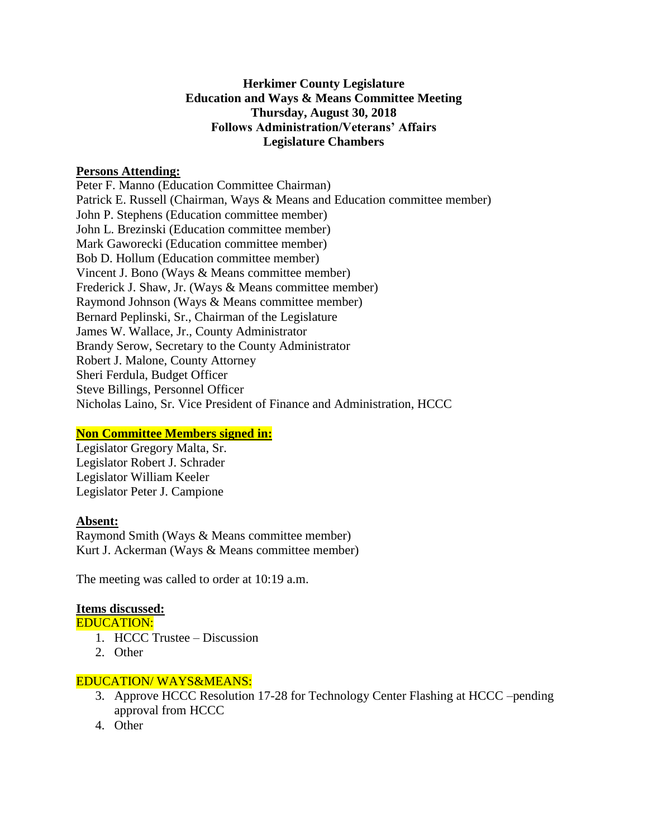# **Herkimer County Legislature Education and Ways & Means Committee Meeting Thursday, August 30, 2018 Follows Administration/Veterans' Affairs Legislature Chambers**

### **Persons Attending:**

Peter F. Manno (Education Committee Chairman) Patrick E. Russell (Chairman, Ways & Means and Education committee member) John P. Stephens (Education committee member) John L. Brezinski (Education committee member) Mark Gaworecki (Education committee member) Bob D. Hollum (Education committee member) Vincent J. Bono (Ways & Means committee member) Frederick J. Shaw, Jr. (Ways & Means committee member) Raymond Johnson (Ways & Means committee member) Bernard Peplinski, Sr., Chairman of the Legislature James W. Wallace, Jr., County Administrator Brandy Serow, Secretary to the County Administrator Robert J. Malone, County Attorney Sheri Ferdula, Budget Officer Steve Billings, Personnel Officer Nicholas Laino, Sr. Vice President of Finance and Administration, HCCC

# **Non Committee Members signed in:**

Legislator Gregory Malta, Sr. Legislator Robert J. Schrader Legislator William Keeler Legislator Peter J. Campione

#### **Absent:**

Raymond Smith (Ways & Means committee member) Kurt J. Ackerman (Ways & Means committee member)

The meeting was called to order at 10:19 a.m.

#### **Items discussed:**

EDUCATION:

- 1. HCCC Trustee Discussion
- 2. Other

#### EDUCATION/ WAYS&MEANS:

- 3. Approve HCCC Resolution 17-28 for Technology Center Flashing at HCCC –pending approval from HCCC
- 4. Other